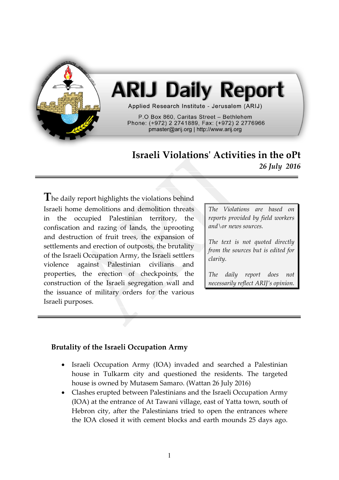

# **ARIJ Daily Report**

Applied Research Institute - Jerusalem (ARIJ)

P.O Box 860, Caritas Street - Bethlehem Phone: (+972) 2 2741889, Fax: (+972) 2 2776966 pmaster@arij.org | http://www.arij.org

# **Israeli Violations' Activities in the oPt** *26 July 2016*

**T**he daily report highlights the violations behind Israeli home demolitions and demolition threats in the occupied Palestinian territory, the confiscation and razing of lands, the uprooting and destruction of fruit trees, the expansion of settlements and erection of outposts, the brutality of the Israeli Occupation Army, the Israeli settlers violence against Palestinian civilians and properties, the erection of checkpoints, the construction of the Israeli segregation wall and the issuance of military orders for the various Israeli purposes.

*The Violations are based on reports provided by field workers and\or news sources.*

*The text is not quoted directly from the sources but is edited for clarity.*

*The daily report does not necessarily reflect ARIJ's opinion.*

# **Brutality of the Israeli Occupation Army**

- Israeli Occupation Army (IOA) invaded and searched a Palestinian house in Tulkarm city and questioned the residents. The targeted house is owned by Mutasem Samaro. (Wattan 26 July 2016)
- Clashes erupted between Palestinians and the Israeli Occupation Army (IOA) at the entrance of At Tawani village, east of Yatta town, south of Hebron city, after the Palestinians tried to open the entrances where the IOA closed it with cement blocks and earth mounds 25 days ago.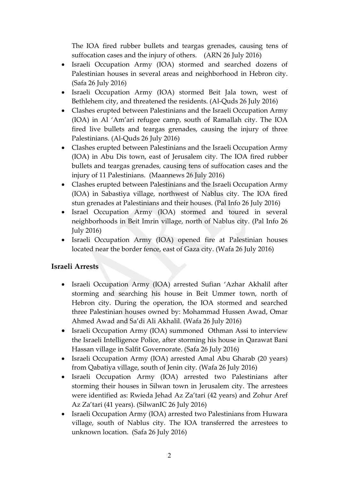The IOA fired rubber bullets and teargas grenades, causing tens of suffocation cases and the injury of others. (ARN 26 July 2016)

- Israeli Occupation Army (IOA) stormed and searched dozens of Palestinian houses in several areas and neighborhood in Hebron city. (Safa 26 July 2016)
- Israeli Occupation Army (IOA) stormed Beit Jala town, west of Bethlehem city, and threatened the residents. (Al-Quds 26 July 2016)
- Clashes erupted between Palestinians and the Israeli Occupation Army (IOA) in Al 'Am'ari refugee camp, south of Ramallah city. The IOA fired live bullets and teargas grenades, causing the injury of three Palestinians. (Al-Quds 26 July 2016)
- Clashes erupted between Palestinians and the Israeli Occupation Army (IOA) in Abu Dis town, east of Jerusalem city. The IOA fired rubber bullets and teargas grenades, causing tens of suffocation cases and the injury of 11 Palestinians. (Maannews 26 July 2016)
- Clashes erupted between Palestinians and the Israeli Occupation Army (IOA) in Sabastiya village, northwest of Nablus city. The IOA fired stun grenades at Palestinians and their houses. (Pal Info 26 July 2016)
- Israel Occupation Army (IOA) stormed and toured in several neighborhoods in Beit Imrin village, north of Nablus city. (Pal Info 26 July 2016)
- Israeli Occupation Army (IOA) opened fire at Palestinian houses located near the border fence, east of Gaza city. (Wafa 26 July 2016)

# **Israeli Arrests**

- Israeli Occupation Army (IOA) arrested Sufian 'Azhar Akhalil after storming and searching his house in Beit Ummer town, north of Hebron city. During the operation, the IOA stormed and searched three Palestinian houses owned by: Mohammad Hussen Awad, Omar Ahmed Awad and Sa'di Ali Akhalil. (Wafa 26 July 2016)
- Israeli Occupation Army (IOA) summoned Othman Assi to interview the Israeli Intelligence Police, after storming his house in Qarawat Bani Hassan village in Salfit Governorate. (Safa 26 July 2016)
- Israeli Occupation Army (IOA) arrested Amal Abu Gharab (20 years) from Qabatiya village, south of Jenin city. (Wafa 26 July 2016)
- Israeli Occupation Army (IOA) arrested two Palestinians after storming their houses in Silwan town in Jerusalem city. The arrestees were identified as: Rwieda Jehad Az Za'tari (42 years) and Zohur Aref Az Za'tari (41 years). (SilwanIC 26 July 2016)
- Israeli Occupation Army (IOA) arrested two Palestinians from Huwara village, south of Nablus city. The IOA transferred the arrestees to unknown location. (Safa 26 July 2016)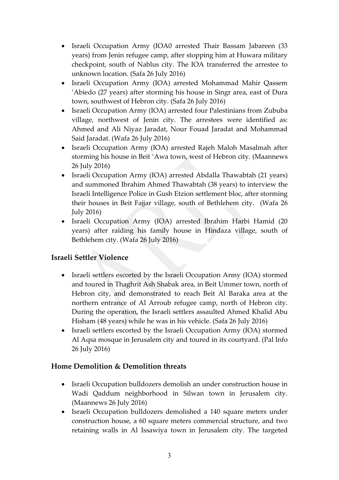- Israeli Occupation Army (IOA0 arrested Thair Bassam Jabareen (33 years) from Jenin refugee camp, after stopping him at Huwara military checkpoint, south of Nablus city. The IOA transferred the arrestee to unknown location. (Safa 26 July 2016)
- Israeli Occupation Army (IOA) arrested Mohammad Mahir Qassem 'Abiedo (27 years) after storming his house in Singr area, east of Dura town, southwest of Hebron city. (Safa 26 July 2016)
- Israeli Occupation Army (IOA) arrested four Palestinians from Zububa village, northwest of Jenin city. The arrestees were identified as: Ahmed and Ali Niyaz Jaradat, Nour Fouad Jaradat and Mohammad Said Jaradat. (Wafa 26 July 2016)
- Israeli Occupation Army (IOA) arrested Rajeh Maloh Masalmah after storming his house in Beit 'Awa town, west of Hebron city. (Maannews 26 July 2016)
- Israeli Occupation Army (IOA) arrested Abdalla Thawabtah (21 years) and summoned Ibrahim Ahmed Thawabtah (38 years) to interview the Israeli Intelligence Police in Gush Etzion settlement bloc, after storming their houses in Beit Fajjar village, south of Bethlehem city. (Wafa 26 July 2016)
- Israeli Occupation Army (IOA) arrested Ibrahim Harbi Hamid (20 years) after raiding his family house in Hindaza village, south of Bethlehem city. (Wafa 26 July 2016)

# **Israeli Settler Violence**

- Israeli settlers escorted by the Israeli Occupation Army (IOA) stormed and toured in Thaghrit Ash Shabak area, in Beit Ummer town, north of Hebron city, and demonstrated to reach Beit Al Baraka area at the northern entrance of Al Arroub refugee camp, north of Hebron city. During the operation, the Israeli settlers assaulted Ahmed Khalid Abu Hisham (48 years) while he was in his vehicle. (Safa 26 July 2016)
- Israeli settlers escorted by the Israeli Occupation Army (IOA) stormed Al Aqsa mosque in Jerusalem city and toured in its courtyard. (Pal Info 26 July 2016)

# **Home Demolition & Demolition threats**

- Israeli Occupation bulldozers demolish an under construction house in Wadi Qaddum neighborhood in Silwan town in Jerusalem city. (Maannews 26 July 2016)
- Israeli Occupation bulldozers demolished a 140 square meters under construction house, a 60 square meters commercial structure, and two retaining walls in Al Issawiya town in Jerusalem city. The targeted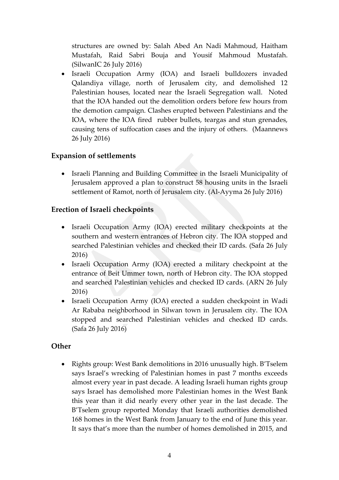structures are owned by: Salah Abed An Nadi Mahmoud, Haitham Mustafah, Raid Sabri Bouja and Yousif Mahmoud Mustafah. (SilwanIC 26 July 2016)

 Israeli Occupation Army (IOA) and Israeli bulldozers invaded Qalandiya village, north of Jerusalem city, and demolished 12 Palestinian houses, located near the Israeli Segregation wall. Noted that the IOA handed out the demolition orders before few hours from the demotion campaign. Clashes erupted between Palestinians and the IOA, where the IOA fired rubber bullets, teargas and stun grenades, causing tens of suffocation cases and the injury of others. (Maannews 26 July 2016)

#### **Expansion of settlements**

 Israeli Planning and Building Committee in the Israeli Municipality of Jerusalem approved a plan to construct 58 housing units in the Israeli settlement of Ramot, north of Jerusalem city. (Al-Ayyma 26 July 2016)

#### **Erection of Israeli checkpoints**

- Israeli Occupation Army (IOA) erected military checkpoints at the southern and western entrances of Hebron city. The IOA stopped and searched Palestinian vehicles and checked their ID cards. (Safa 26 July 2016)
- Israeli Occupation Army (IOA) erected a military checkpoint at the entrance of Beit Ummer town, north of Hebron city. The IOA stopped and searched Palestinian vehicles and checked ID cards. (ARN 26 July 2016)
- Israeli Occupation Army (IOA) erected a sudden checkpoint in Wadi Ar Rababa neighborhood in Silwan town in Jerusalem city. The IOA stopped and searched Palestinian vehicles and checked ID cards. (Safa 26 July 2016)

#### **Other**

• Rights group: West Bank demolitions in 2016 unusually high. B'Tselem says Israel's wrecking of Palestinian homes in past 7 months exceeds almost every year in past decade. A leading Israeli human rights group says Israel has demolished more Palestinian homes in the West Bank this year than it did nearly every other year in the last decade. The B'Tselem group reported Monday that Israeli authorities demolished 168 homes in the West Bank from January to the end of June this year. It says that's more than the number of homes demolished in 2015, and